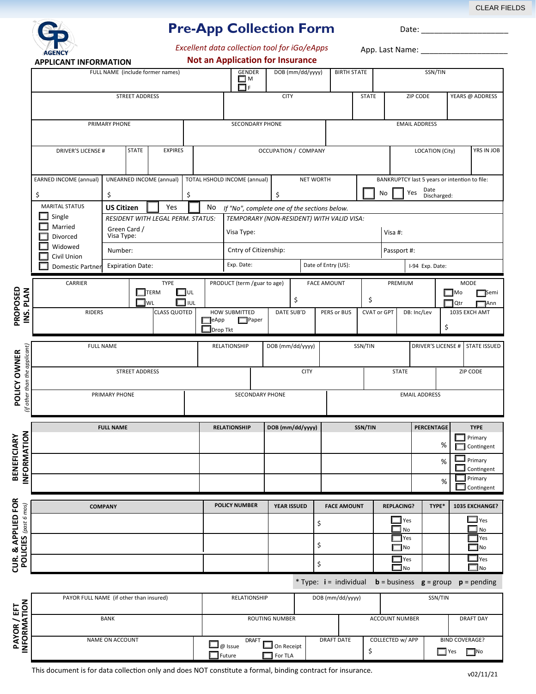CLEAR FIELDS



**PROPOSED**

**BENEFICIARY**

& APPLIED FOR

CUR.

## **Pre-App Collection Form**

*Excellent data collection tool for iGo/eApps*

Date:

App. Last Name: \_ **Not an Application for Insurance APPLICANT INFORMATION** FULL NAME (include former names) GENDER DOB (mm/dd/yyyy) BIRTH STATE SSN/TIN M F STREET ADDRESS STATE STATE ZIP CODE YEARS @ ADDRESS PRIMARY PHONE EMAIL ADDRESS ECONDARY PHONE SECONDARY PHONE EMAIL ADDRESS DRIVER'S LICENSE # STATE EXPIRES COLOPATION / COMPANY LOCATION (CIty) YRS IN JOB EXPIRES UNEARNED INCOME (annual) TOTAL HSHOLD INCOME (annual) NET WORTH BANKRUPTCY last 5 years or intention to file: EARNED INCOME (annual) Date Discharged:  $\begin{array}{ccc} \xi & \hspace{1cm} \xi \end{array}$   $\begin{array}{ccc} \xi & \hspace{1cm} \xi \end{array}$   $\begin{array}{ccc} \xi & \hspace{1cm} \eta \circ \hspace{1cm} \end{array}$  Yes MARITAL STATUS **US Citizen I** Yes **I** No *If "No", complete one of the sections below.* **US Citizen** | Yes | | No  $\Box$  Single *RESIDENT WITH LEGAL PERM. STATUS: TEMPORARY (NON-RESIDENT) WITH VALID VISA:* Married Green Card / Visa #: Visa Type: Divorced Visa Type: Widowed Cntry of Citizenship: Passport #: Number: □ Civil Union Expiration Date: Exp. Date: Date of Entry (US): I-94 Exp. Date: Domestic Partner CARRIER TYPE PRODUCT (term /guar to age) FACE AMOUNT PREMIUM MODE **INS. PLAN** TERM UL Mo Semi \$ WL ██ IUL ██ ਪੰਧਵਾਨ ਹੈ। ਇਸ ਬਾਰੇ ਪੰਜਾਬ ਬਾਹੁੰਦਾ ਹੈ। ਇਸ ਬਾਹੁੰਦਾ ਹੈ। ਇਸ ਬਾਹੂੰ ਬਾਹੂੰ ਪੰਜਾਬ ਬਾਹੂੰ ਪੰਜਾਬ ਬਾਹੂੰ ਪੰਜਾਬ ਬ RIDERS CLASS QUOTED HOW SUBMITTED DATE SUB'D PERS or BUS CVAT or GPT DB: Inc/Lev 1035 EXCH AMT eApp Paper  $\Box$ Drop Tkt  $\Box$ **FULL NAME** RELATIONSHIP DOB (mm/dd/yyyy) SSN/TIN DRIVER'S LICENSE # STATE ISSUED 'if other than the applicant) *(if other than the applicant)* POLICY OWNER **POLICY OWNER** STREET ADDRESS STREET ADDRESS TO CITY THE CITY STATE THE STATE THE STATE STATE OF STATE STATE ADDRESS PRIMARY PHONE **EMAIL ADDRESS EMAIL ADDRESS FULL NAME RELATIONSHIP** DOB (mm/dd/yyyy) SSN/TIN PERCENTAGE TYPE **ORMATION Primary** % Contingent  $\Box$  Primary %  $\Box$  Contingent <u>I</u>≊ Primary % Contingent **CUR. & APPLIED FOR POLICY NUMBER** YEAR ISSUED FACE AMOUNT REPLACING? TYPE\* 1035 EXCHANGE? POLICIES (past 6 mos)  **COMPANY POLICIES** *(past 6 mos)* **T**<sub>Yes</sub> Yes \$  $\square$  No  $\square$  No Yes Yes \$  $\Box$  No **No** Yes Yes \$  $\square$  No  $\Box$ No \* Type: **i** = individual **b** = business **g** = group **p** = pending PAYOR FULL NAME (if other than insured) **RELATIONSHIP** DOB (mm/dd/yyyy) SSN/TIN **PAYOR / EFT INFORMATION** BANK BANK ROUTING NUMBER **ROUTING NUMBER** ACCOUNT NUMBER DRAFT DAY **DRAFT** Ī NAME ON ACCOUNT BIND COVERAGE?  $\square$  On Receipt \$  $\Box$  Yes  $\Box$  No Future **For TLA** 

This document is for data collection only and does NOT constitute a formal, binding contract for insurance.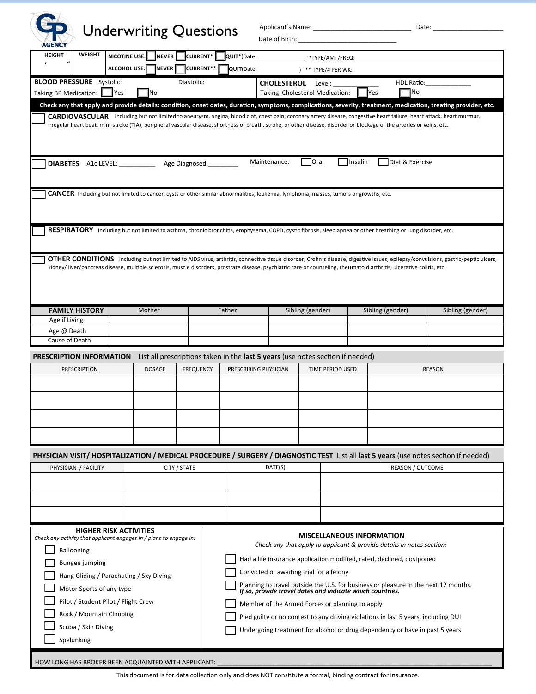

## **GP** Underwriting Questions

Applicant's Name: \_\_\_\_\_\_\_\_\_\_\_\_\_\_\_\_\_\_\_\_\_\_\_\_\_\_\_\_ Date: \_\_\_\_\_\_\_\_\_\_\_\_\_\_\_\_\_\_\_\_

| <b>AGENCY</b><br><b>HEIGHT</b><br>$\boldsymbol{\mathcal{U}}$<br>$\pmb{\epsilon}$ |                                   |                                                   |        |               |              |                  | <b>SHOW WEIGHTS</b> |                                                                                                                                       |                  |                                                                                |                                                                                                                                                                          |                         |                                                                                                                                                                                  |
|----------------------------------------------------------------------------------|-----------------------------------|---------------------------------------------------|--------|---------------|--------------|------------------|---------------------|---------------------------------------------------------------------------------------------------------------------------------------|------------------|--------------------------------------------------------------------------------|--------------------------------------------------------------------------------------------------------------------------------------------------------------------------|-------------------------|----------------------------------------------------------------------------------------------------------------------------------------------------------------------------------|
|                                                                                  | <b>WEIGHT</b>                     | <b>NICOTINE USE:</b>                              |        | <b>NEVER</b>  |              | CURRENT*         | QUIT*(Date:         |                                                                                                                                       |                  | ) *TYPE/AMT/FREQ:                                                              |                                                                                                                                                                          |                         |                                                                                                                                                                                  |
|                                                                                  |                                   | ALCOHOL USE:                                      |        | NEVER         |              | CURRENT**        | QUIT(Date:          |                                                                                                                                       |                  | $*$ ** TYPE/# PER WK:                                                          |                                                                                                                                                                          |                         |                                                                                                                                                                                  |
| <b>BLOOD PRESSURE</b> Systolic:                                                  |                                   |                                                   |        |               | Diastolic:   |                  |                     |                                                                                                                                       |                  |                                                                                |                                                                                                                                                                          | HDL Ratio:              |                                                                                                                                                                                  |
| Taking BP Medication: Ves                                                        |                                   |                                                   | No     |               |              |                  |                     | CHOLESTEROL Level:<br>Taking Cholesterol Medication:                                                                                  |                  |                                                                                | <b>Yes</b>                                                                                                                                                               | ¶No                     |                                                                                                                                                                                  |
|                                                                                  |                                   |                                                   |        |               |              |                  |                     |                                                                                                                                       |                  |                                                                                |                                                                                                                                                                          |                         | Check any that apply and provide details: condition, onset dates, duration, symptoms, complications, severity, treatment, medication, treating provider, etc.                    |
|                                                                                  |                                   |                                                   |        |               |              |                  |                     |                                                                                                                                       |                  |                                                                                |                                                                                                                                                                          |                         | CARDIOVASCULAR Including but not limited to aneurysm, angina, blood clot, chest pain, coronary artery disease, congestive heart failure, heart attack, heart murmur,             |
|                                                                                  |                                   |                                                   |        |               |              |                  |                     |                                                                                                                                       |                  |                                                                                | irregular heart beat, mini-stroke (TIA), peripheral vascular disease, shortness of breath, stroke, or other disease, disorder or blockage of the arteries or veins, etc. |                         |                                                                                                                                                                                  |
|                                                                                  |                                   | DIABETES A1c LEVEL: ______________ Age Diagnosed: |        |               |              |                  |                     | Maintenance:                                                                                                                          | Oral             | $\Box$ Insulin                                                                 |                                                                                                                                                                          | Diet & Exercise         |                                                                                                                                                                                  |
|                                                                                  |                                   |                                                   |        |               |              |                  |                     | CANCER Including but not limited to cancer, cysts or other similar abnormalities, leukemia, lymphoma, masses, tumors or growths, etc. |                  |                                                                                |                                                                                                                                                                          |                         |                                                                                                                                                                                  |
|                                                                                  |                                   |                                                   |        |               |              |                  |                     |                                                                                                                                       |                  |                                                                                |                                                                                                                                                                          |                         |                                                                                                                                                                                  |
|                                                                                  |                                   |                                                   |        |               |              |                  |                     |                                                                                                                                       |                  |                                                                                | RESPIRATORY Including but not limited to asthma, chronic bronchitis, emphysema, COPD, cystic fibrosis, sleep apnea or other breathing or lung disorder, etc.             |                         |                                                                                                                                                                                  |
|                                                                                  |                                   |                                                   |        |               |              |                  |                     |                                                                                                                                       |                  |                                                                                |                                                                                                                                                                          |                         |                                                                                                                                                                                  |
|                                                                                  |                                   |                                                   |        |               |              |                  |                     |                                                                                                                                       |                  |                                                                                |                                                                                                                                                                          |                         | OTHER CONDITIONS Including but not limited to AIDS virus, arthritis, connective tissue disorder, Crohn's disease, digestive issues, epilepsy/convulsions, gastric/peptic ulcers, |
|                                                                                  |                                   |                                                   |        |               |              |                  |                     |                                                                                                                                       |                  |                                                                                | kidney/liver/pancreas disease, multiple sclerosis, muscle disorders, prostrate disease, psychiatric care or counseling, rheumatoid arthritis, ulcerative colitis, etc.   |                         |                                                                                                                                                                                  |
|                                                                                  |                                   |                                                   |        |               |              |                  |                     |                                                                                                                                       |                  |                                                                                |                                                                                                                                                                          |                         |                                                                                                                                                                                  |
|                                                                                  |                                   |                                                   |        |               |              |                  |                     |                                                                                                                                       |                  |                                                                                |                                                                                                                                                                          |                         |                                                                                                                                                                                  |
|                                                                                  |                                   |                                                   |        |               |              |                  |                     |                                                                                                                                       |                  |                                                                                |                                                                                                                                                                          |                         |                                                                                                                                                                                  |
|                                                                                  | <b>FAMILY HISTORY</b>             |                                                   | Mother |               |              |                  | Father              |                                                                                                                                       | Sibling (gender) |                                                                                | Sibling (gender)                                                                                                                                                         |                         | Sibling (gender)                                                                                                                                                                 |
| Age if Living                                                                    |                                   |                                                   |        |               |              |                  |                     |                                                                                                                                       |                  |                                                                                |                                                                                                                                                                          |                         |                                                                                                                                                                                  |
| Age @ Death                                                                      |                                   |                                                   |        |               |              |                  |                     |                                                                                                                                       |                  |                                                                                |                                                                                                                                                                          |                         |                                                                                                                                                                                  |
| Cause of Death                                                                   |                                   |                                                   |        |               |              |                  |                     |                                                                                                                                       |                  |                                                                                |                                                                                                                                                                          |                         |                                                                                                                                                                                  |
| <b>PRESCRIPTION INFORMATION</b>                                                  |                                   |                                                   |        |               |              |                  |                     |                                                                                                                                       |                  |                                                                                |                                                                                                                                                                          |                         |                                                                                                                                                                                  |
|                                                                                  | PRESCRIPTION                      |                                                   |        |               |              |                  |                     |                                                                                                                                       |                  | List all prescriptions taken in the last 5 years (use notes section if needed) |                                                                                                                                                                          |                         |                                                                                                                                                                                  |
|                                                                                  |                                   |                                                   |        | <b>DOSAGE</b> |              | <b>FREQUENCY</b> |                     | PRESCRIBING PHYSICIAN                                                                                                                 |                  | <b>TIME PERIOD USED</b>                                                        |                                                                                                                                                                          |                         | <b>REASON</b>                                                                                                                                                                    |
|                                                                                  |                                   |                                                   |        |               |              |                  |                     |                                                                                                                                       |                  |                                                                                |                                                                                                                                                                          |                         |                                                                                                                                                                                  |
|                                                                                  |                                   |                                                   |        |               |              |                  |                     |                                                                                                                                       |                  |                                                                                |                                                                                                                                                                          |                         |                                                                                                                                                                                  |
|                                                                                  |                                   |                                                   |        |               |              |                  |                     |                                                                                                                                       |                  |                                                                                |                                                                                                                                                                          |                         |                                                                                                                                                                                  |
|                                                                                  |                                   |                                                   |        |               |              |                  |                     |                                                                                                                                       |                  |                                                                                |                                                                                                                                                                          |                         |                                                                                                                                                                                  |
|                                                                                  |                                   |                                                   |        |               |              |                  |                     |                                                                                                                                       |                  |                                                                                |                                                                                                                                                                          |                         |                                                                                                                                                                                  |
|                                                                                  |                                   |                                                   |        |               |              |                  |                     |                                                                                                                                       |                  |                                                                                |                                                                                                                                                                          |                         |                                                                                                                                                                                  |
|                                                                                  |                                   |                                                   |        |               |              |                  |                     |                                                                                                                                       |                  |                                                                                |                                                                                                                                                                          |                         |                                                                                                                                                                                  |
|                                                                                  |                                   |                                                   |        |               |              |                  |                     |                                                                                                                                       |                  |                                                                                |                                                                                                                                                                          |                         | PHYSICIAN VISIT/ HOSPITALIZATION / MEDICAL PROCEDURE / SURGERY / DIAGNOSTIC TEST List all last 5 years (use notes section if needed)                                             |
|                                                                                  | PHYSICIAN / FACILITY              |                                                   |        |               | CITY / STATE |                  |                     | DATE(S)                                                                                                                               |                  |                                                                                |                                                                                                                                                                          | <b>REASON / OUTCOME</b> |                                                                                                                                                                                  |
|                                                                                  |                                   |                                                   |        |               |              |                  |                     |                                                                                                                                       |                  |                                                                                |                                                                                                                                                                          |                         |                                                                                                                                                                                  |
|                                                                                  |                                   |                                                   |        |               |              |                  |                     |                                                                                                                                       |                  |                                                                                |                                                                                                                                                                          |                         |                                                                                                                                                                                  |
|                                                                                  |                                   |                                                   |        |               |              |                  |                     |                                                                                                                                       |                  |                                                                                |                                                                                                                                                                          |                         |                                                                                                                                                                                  |
|                                                                                  |                                   |                                                   |        |               |              |                  |                     |                                                                                                                                       |                  |                                                                                |                                                                                                                                                                          |                         |                                                                                                                                                                                  |
|                                                                                  |                                   |                                                   |        |               |              |                  |                     |                                                                                                                                       |                  |                                                                                |                                                                                                                                                                          |                         |                                                                                                                                                                                  |
|                                                                                  |                                   | <b>HIGHER RISK ACTIVITIES</b>                     |        |               |              |                  |                     |                                                                                                                                       |                  |                                                                                | <b>MISCELLANEOUS INFORMATION</b>                                                                                                                                         |                         |                                                                                                                                                                                  |
| Check any activity that applicant engages in / plans to engage in:               |                                   |                                                   |        |               |              |                  |                     |                                                                                                                                       |                  |                                                                                | Check any that apply to applicant & provide details in notes section:                                                                                                    |                         |                                                                                                                                                                                  |
|                                                                                  | <b>Ballooning</b>                 |                                                   |        |               |              |                  |                     |                                                                                                                                       |                  |                                                                                |                                                                                                                                                                          |                         |                                                                                                                                                                                  |
|                                                                                  | Bungee jumping                    |                                                   |        |               |              |                  |                     |                                                                                                                                       |                  |                                                                                | Had a life insurance application modified, rated, declined, postponed                                                                                                    |                         |                                                                                                                                                                                  |
|                                                                                  |                                   | Hang Gliding / Parachuting / Sky Diving           |        |               |              |                  |                     | Convicted or awaiting trial for a felony                                                                                              |                  |                                                                                |                                                                                                                                                                          |                         |                                                                                                                                                                                  |
|                                                                                  | Motor Sports of any type          |                                                   |        |               |              |                  |                     |                                                                                                                                       |                  |                                                                                | Planning to travel outside the U.S. for business or pleasure in the next 12 months.<br>If so, provide travel dates and indicate which countries.                         |                         |                                                                                                                                                                                  |
|                                                                                  |                                   | Pilot / Student Pilot / Flight Crew               |        |               |              |                  |                     |                                                                                                                                       |                  |                                                                                |                                                                                                                                                                          |                         |                                                                                                                                                                                  |
|                                                                                  | Rock / Mountain Climbing          |                                                   |        |               |              |                  |                     | Member of the Armed Forces or planning to apply                                                                                       |                  |                                                                                |                                                                                                                                                                          |                         |                                                                                                                                                                                  |
|                                                                                  |                                   |                                                   |        |               |              |                  |                     |                                                                                                                                       |                  |                                                                                | Pled guilty or no contest to any driving violations in last 5 years, including DUI                                                                                       |                         |                                                                                                                                                                                  |
|                                                                                  | Scuba / Skin Diving<br>Spelunking |                                                   |        |               |              |                  |                     |                                                                                                                                       |                  |                                                                                | Undergoing treatment for alcohol or drug dependency or have in past 5 years                                                                                              |                         |                                                                                                                                                                                  |

HOW LONG HAS BROKER BEEN ACQUAINTED WITH APPLICANT: